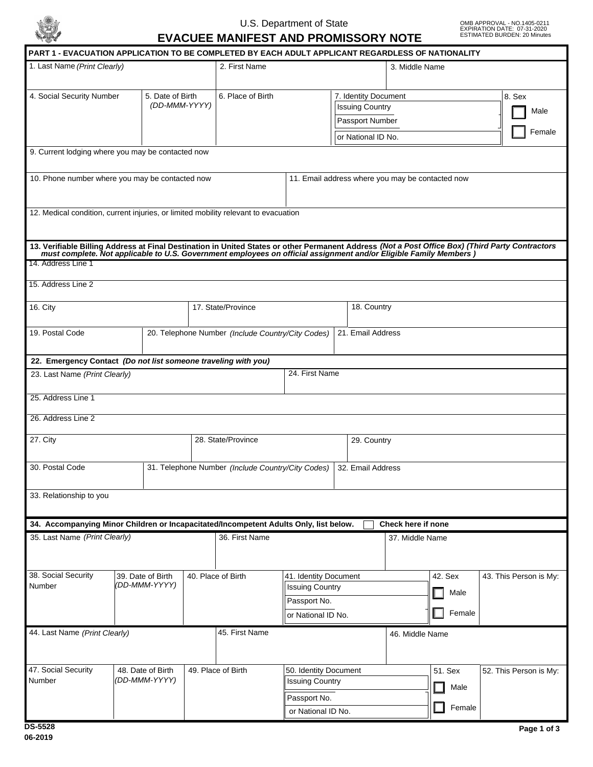

## U.S. Department of State

**EVACUEE MANIFEST AND PROMISSORY NOTE**

OMB APPROVAL - NO.1405-0211 EXPIRATION DATE: 07-31-2020 ESTIMATED BURDEN: 20 Minutes

| 1. Last Name (Print Clearly)                                                                                                                                                                                                                         |  |                                                                        | 2. First Name |                                                   |                                        |                                                 | 3. Middle Name                                                                          |                           |  |         |  |                        |                |
|------------------------------------------------------------------------------------------------------------------------------------------------------------------------------------------------------------------------------------------------------|--|------------------------------------------------------------------------|---------------|---------------------------------------------------|----------------------------------------|-------------------------------------------------|-----------------------------------------------------------------------------------------|---------------------------|--|---------|--|------------------------|----------------|
| 4. Social Security Number                                                                                                                                                                                                                            |  | 5. Date of Birth<br>(DD-MMM-YYYY)                                      |               | 6. Place of Birth                                 |                                        |                                                 | 7. Identity Document<br><b>Issuing Country</b><br>Passport Number<br>or National ID No. |                           |  |         |  | 8. Sex                 | Male<br>Female |
| 9. Current lodging where you may be contacted now                                                                                                                                                                                                    |  |                                                                        |               |                                                   |                                        |                                                 |                                                                                         |                           |  |         |  |                        |                |
| 10. Phone number where you may be contacted now                                                                                                                                                                                                      |  |                                                                        |               | 11. Email address where you may be contacted now  |                                        |                                                 |                                                                                         |                           |  |         |  |                        |                |
| 12. Medical condition, current injuries, or limited mobility relevant to evacuation                                                                                                                                                                  |  |                                                                        |               |                                                   |                                        |                                                 |                                                                                         |                           |  |         |  |                        |                |
| 13. Verifiable Billing Address at Final Destination in United States or other Permanent Address (Not a Post Office Box) (Third Party Contractors must complete. Not applicable to U.S. Government employees on official assign<br>14. Address Line 1 |  |                                                                        |               |                                                   |                                        |                                                 |                                                                                         |                           |  |         |  |                        |                |
| 15. Address Line 2                                                                                                                                                                                                                                   |  |                                                                        |               |                                                   |                                        |                                                 |                                                                                         |                           |  |         |  |                        |                |
| 16. City                                                                                                                                                                                                                                             |  |                                                                        |               | 17. State/Province                                |                                        |                                                 | 18. Country                                                                             |                           |  |         |  |                        |                |
| 19. Postal Code                                                                                                                                                                                                                                      |  | 20. Telephone Number (Include Country/City Codes)<br>21. Email Address |               |                                                   |                                        |                                                 |                                                                                         |                           |  |         |  |                        |                |
| 22. Emergency Contact (Do not list someone traveling with you)                                                                                                                                                                                       |  |                                                                        |               |                                                   |                                        |                                                 |                                                                                         |                           |  |         |  |                        |                |
| 23. Last Name (Print Clearly)                                                                                                                                                                                                                        |  |                                                                        |               |                                                   | 24. First Name                         |                                                 |                                                                                         |                           |  |         |  |                        |                |
| 25. Address Line 1                                                                                                                                                                                                                                   |  |                                                                        |               |                                                   |                                        |                                                 |                                                                                         |                           |  |         |  |                        |                |
| 26. Address Line 2                                                                                                                                                                                                                                   |  |                                                                        |               |                                                   |                                        |                                                 |                                                                                         |                           |  |         |  |                        |                |
| 27. City                                                                                                                                                                                                                                             |  |                                                                        |               | 28. State/Province                                |                                        |                                                 | 29. Country                                                                             |                           |  |         |  |                        |                |
| 30. Postal Code                                                                                                                                                                                                                                      |  |                                                                        |               | 31. Telephone Number (Include Country/City Codes) |                                        |                                                 | 32. Email Address                                                                       |                           |  |         |  |                        |                |
| 33. Relationship to you                                                                                                                                                                                                                              |  |                                                                        |               |                                                   |                                        |                                                 |                                                                                         |                           |  |         |  |                        |                |
| 34. Accompanying Minor Children or Incapacitated/Incompetent Adults Only, list below.                                                                                                                                                                |  |                                                                        |               |                                                   |                                        |                                                 |                                                                                         | <b>Check here if none</b> |  |         |  |                        |                |
| 35. Last Name (Print Clearly)                                                                                                                                                                                                                        |  |                                                                        |               | 36. First Name                                    |                                        |                                                 |                                                                                         | 37. Middle Name           |  |         |  |                        |                |
| 38. Social Security<br>Number                                                                                                                                                                                                                        |  | 39. Date of Birth<br>(DD-MMM-YYYY)                                     |               | 40. Place of Birth                                | 41. Identity Document                  |                                                 |                                                                                         |                           |  | 42. Sex |  | 43. This Person is My: |                |
|                                                                                                                                                                                                                                                      |  |                                                                        |               |                                                   | <b>Issuing Country</b><br>Passport No. |                                                 |                                                                                         |                           |  | Male    |  |                        |                |
|                                                                                                                                                                                                                                                      |  |                                                                        |               |                                                   |                                        | or National ID No.                              |                                                                                         |                           |  | Female  |  |                        |                |
| 44. Last Name (Print Clearly)                                                                                                                                                                                                                        |  |                                                                        |               | 45. First Name                                    |                                        |                                                 |                                                                                         | 46. Middle Name           |  |         |  |                        |                |
| 47. Social Security<br>Number                                                                                                                                                                                                                        |  | 48. Date of Birth<br>(DD-MMM-YYYY)                                     |               | 49. Place of Birth                                |                                        | 50. Identity Document<br><b>Issuing Country</b> |                                                                                         |                           |  | 51. Sex |  | 52. This Person is My: |                |
|                                                                                                                                                                                                                                                      |  |                                                                        |               |                                                   |                                        | Passport No.                                    |                                                                                         |                           |  | Male    |  |                        |                |
|                                                                                                                                                                                                                                                      |  |                                                                        |               | or National ID No.                                |                                        |                                                 |                                                                                         |                           |  | Female  |  |                        |                |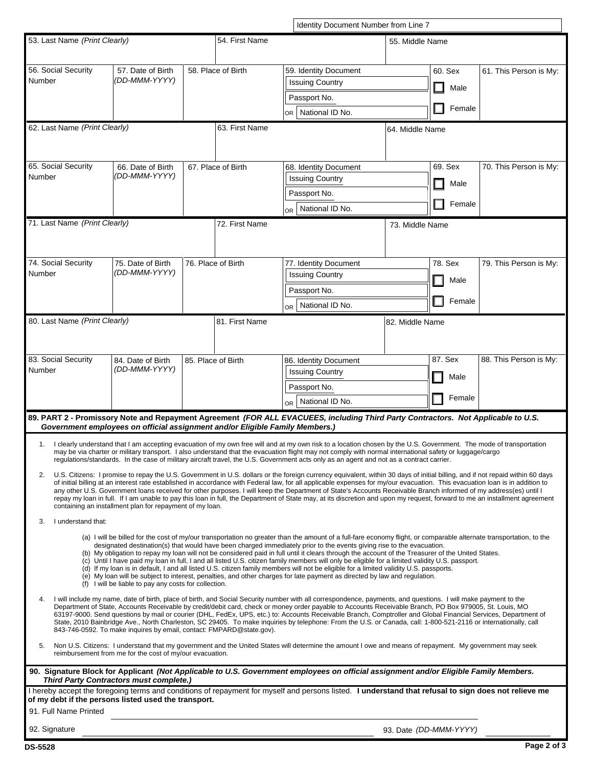|                                                                                                                                                                                                                                                                                                                                                                                                                                                                              |                                                                              | Identity Document Number from Line 7 |                    |                                                                                                                                                                                                                                                                                                                                                  |                 |  |         |                        |  |  |
|------------------------------------------------------------------------------------------------------------------------------------------------------------------------------------------------------------------------------------------------------------------------------------------------------------------------------------------------------------------------------------------------------------------------------------------------------------------------------|------------------------------------------------------------------------------|--------------------------------------|--------------------|--------------------------------------------------------------------------------------------------------------------------------------------------------------------------------------------------------------------------------------------------------------------------------------------------------------------------------------------------|-----------------|--|---------|------------------------|--|--|
| 53. Last Name (Print Clearly)                                                                                                                                                                                                                                                                                                                                                                                                                                                |                                                                              |                                      | 54. First Name     | 55. Middle Name                                                                                                                                                                                                                                                                                                                                  |                 |  |         |                        |  |  |
|                                                                                                                                                                                                                                                                                                                                                                                                                                                                              |                                                                              |                                      |                    |                                                                                                                                                                                                                                                                                                                                                  |                 |  |         |                        |  |  |
| 56. Social Security                                                                                                                                                                                                                                                                                                                                                                                                                                                          | 57. Date of Birth                                                            |                                      | 58. Place of Birth | 59. Identity Document                                                                                                                                                                                                                                                                                                                            |                 |  | 60. Sex | 61. This Person is My: |  |  |
| Number                                                                                                                                                                                                                                                                                                                                                                                                                                                                       | (DD-MMM-YYYY)                                                                |                                      |                    | <b>Issuing Country</b>                                                                                                                                                                                                                                                                                                                           |                 |  | Male    |                        |  |  |
|                                                                                                                                                                                                                                                                                                                                                                                                                                                                              |                                                                              |                                      |                    | Passport No.                                                                                                                                                                                                                                                                                                                                     |                 |  |         |                        |  |  |
|                                                                                                                                                                                                                                                                                                                                                                                                                                                                              |                                                                              |                                      |                    | National ID No.<br>or I                                                                                                                                                                                                                                                                                                                          |                 |  | Female  |                        |  |  |
| 62. Last Name (Print Clearly)                                                                                                                                                                                                                                                                                                                                                                                                                                                |                                                                              | 63. First Name<br>64. Middle Name    |                    |                                                                                                                                                                                                                                                                                                                                                  |                 |  |         |                        |  |  |
|                                                                                                                                                                                                                                                                                                                                                                                                                                                                              |                                                                              |                                      |                    |                                                                                                                                                                                                                                                                                                                                                  |                 |  |         |                        |  |  |
| 65. Social Security                                                                                                                                                                                                                                                                                                                                                                                                                                                          |                                                                              |                                      | 67. Place of Birth |                                                                                                                                                                                                                                                                                                                                                  |                 |  | 69. Sex |                        |  |  |
| Number                                                                                                                                                                                                                                                                                                                                                                                                                                                                       | 66. Date of Birth<br>(DD-MMM-YYYY)                                           |                                      |                    | 68. Identity Document<br><b>Issuing Country</b>                                                                                                                                                                                                                                                                                                  |                 |  |         | 70. This Person is My: |  |  |
|                                                                                                                                                                                                                                                                                                                                                                                                                                                                              |                                                                              |                                      |                    | Passport No.                                                                                                                                                                                                                                                                                                                                     |                 |  | Male    |                        |  |  |
|                                                                                                                                                                                                                                                                                                                                                                                                                                                                              |                                                                              |                                      |                    | OR   National ID No.                                                                                                                                                                                                                                                                                                                             |                 |  | Female  |                        |  |  |
| 71. Last Name (Print Clearly)                                                                                                                                                                                                                                                                                                                                                                                                                                                |                                                                              |                                      | 72. First Name     |                                                                                                                                                                                                                                                                                                                                                  |                 |  |         |                        |  |  |
|                                                                                                                                                                                                                                                                                                                                                                                                                                                                              |                                                                              |                                      |                    |                                                                                                                                                                                                                                                                                                                                                  | 73. Middle Name |  |         |                        |  |  |
|                                                                                                                                                                                                                                                                                                                                                                                                                                                                              |                                                                              |                                      |                    |                                                                                                                                                                                                                                                                                                                                                  |                 |  |         |                        |  |  |
| 74. Social Security                                                                                                                                                                                                                                                                                                                                                                                                                                                          | 75. Date of Birth                                                            |                                      | 76. Place of Birth | 77. Identity Document                                                                                                                                                                                                                                                                                                                            |                 |  | 78. Sex | 79. This Person is My: |  |  |
| Number                                                                                                                                                                                                                                                                                                                                                                                                                                                                       | (DD-MMM-YYYY)                                                                |                                      |                    | <b>Issuing Country</b>                                                                                                                                                                                                                                                                                                                           |                 |  | Male    |                        |  |  |
|                                                                                                                                                                                                                                                                                                                                                                                                                                                                              |                                                                              |                                      |                    | Passport No.                                                                                                                                                                                                                                                                                                                                     |                 |  |         |                        |  |  |
|                                                                                                                                                                                                                                                                                                                                                                                                                                                                              |                                                                              |                                      |                    | OR   National ID No.                                                                                                                                                                                                                                                                                                                             |                 |  | Female  |                        |  |  |
| 80. Last Name (Print Clearly)                                                                                                                                                                                                                                                                                                                                                                                                                                                |                                                                              |                                      | 81. First Name     |                                                                                                                                                                                                                                                                                                                                                  | 82. Middle Name |  |         |                        |  |  |
|                                                                                                                                                                                                                                                                                                                                                                                                                                                                              |                                                                              |                                      |                    |                                                                                                                                                                                                                                                                                                                                                  |                 |  |         |                        |  |  |
|                                                                                                                                                                                                                                                                                                                                                                                                                                                                              |                                                                              |                                      |                    |                                                                                                                                                                                                                                                                                                                                                  |                 |  |         |                        |  |  |
| 83. Social Security<br>Number                                                                                                                                                                                                                                                                                                                                                                                                                                                | 84. Date of Birth<br>(DD-MMM-YYYY)                                           |                                      | 85. Place of Birth | 86. Identity Document                                                                                                                                                                                                                                                                                                                            |                 |  | 87. Sex | 88. This Person is My: |  |  |
|                                                                                                                                                                                                                                                                                                                                                                                                                                                                              |                                                                              |                                      |                    | <b>Issuing Country</b>                                                                                                                                                                                                                                                                                                                           |                 |  | Male    |                        |  |  |
|                                                                                                                                                                                                                                                                                                                                                                                                                                                                              |                                                                              |                                      |                    | Passport No.                                                                                                                                                                                                                                                                                                                                     |                 |  | Female  |                        |  |  |
|                                                                                                                                                                                                                                                                                                                                                                                                                                                                              |                                                                              |                                      |                    | OR   National ID No.                                                                                                                                                                                                                                                                                                                             |                 |  |         |                        |  |  |
|                                                                                                                                                                                                                                                                                                                                                                                                                                                                              | Government employees on official assignment and/or Eligible Family Members.) |                                      |                    | 89. PART 2 - Promissory Note and Repayment Agreement (FOR ALL EVACUEES, including Third Party Contractors. Not Applicable to U.S.                                                                                                                                                                                                                |                 |  |         |                        |  |  |
|                                                                                                                                                                                                                                                                                                                                                                                                                                                                              |                                                                              |                                      |                    |                                                                                                                                                                                                                                                                                                                                                  |                 |  |         |                        |  |  |
| 1. I clearly understand that I am accepting evacuation of my own free will and at my own risk to a location chosen by the U.S. Government. The mode of transportation<br>may be via charter or military transport. I also understand that the evacuation flight may not comply with normal international safety or luggage/cargo<br>regulations/standards. In the case of military aircraft travel, the U.S. Government acts only as an agent and not as a contract carrier. |                                                                              |                                      |                    |                                                                                                                                                                                                                                                                                                                                                  |                 |  |         |                        |  |  |
| 2.                                                                                                                                                                                                                                                                                                                                                                                                                                                                           |                                                                              |                                      |                    | U.S. Citizens: I promise to repay the U.S. Government in U.S. dollars or the foreign currency equivalent, within 30 days of initial billing, and if not repaid within 60 days                                                                                                                                                                    |                 |  |         |                        |  |  |
|                                                                                                                                                                                                                                                                                                                                                                                                                                                                              |                                                                              |                                      |                    | of initial billing at an interest rate established in accordance with Federal law, for all applicable expenses for my/our evacuation. This evacuation loan is in addition to<br>any other U.S. Government loans received for other purposes. I will keep the Department of State's Accounts Receivable Branch informed of my address(es) until I |                 |  |         |                        |  |  |
| repay my loan in full. If I am unable to pay this loan in full, the Department of State may, at its discretion and upon my request, forward to me an installment agreement<br>containing an installment plan for repayment of my loan.                                                                                                                                                                                                                                       |                                                                              |                                      |                    |                                                                                                                                                                                                                                                                                                                                                  |                 |  |         |                        |  |  |
| I understand that:<br>3.                                                                                                                                                                                                                                                                                                                                                                                                                                                     |                                                                              |                                      |                    |                                                                                                                                                                                                                                                                                                                                                  |                 |  |         |                        |  |  |
| (a) I will be billed for the cost of my/our transportation no greater than the amount of a full-fare economy flight, or comparable alternate transportation, to the                                                                                                                                                                                                                                                                                                          |                                                                              |                                      |                    |                                                                                                                                                                                                                                                                                                                                                  |                 |  |         |                        |  |  |
|                                                                                                                                                                                                                                                                                                                                                                                                                                                                              |                                                                              |                                      |                    | designated destination(s) that would have been charged immediately prior to the events giving rise to the evacuation.<br>(b) My obligation to repay my loan will not be considered paid in full until it clears through the account of the Treasurer of the United States.                                                                       |                 |  |         |                        |  |  |
|                                                                                                                                                                                                                                                                                                                                                                                                                                                                              |                                                                              |                                      |                    | (c) Until I have paid my loan in full, I and all listed U.S. citizen family members will only be eligible for a limited validity U.S. passport.                                                                                                                                                                                                  |                 |  |         |                        |  |  |
| (d) If my loan is in default, I and all listed U.S. citizen family members will not be eligible for a limited validity U.S. passports.<br>(e) My loan will be subject to interest, penalties, and other charges for late payment as directed by law and regulation.                                                                                                                                                                                                          |                                                                              |                                      |                    |                                                                                                                                                                                                                                                                                                                                                  |                 |  |         |                        |  |  |
| (f) I will be liable to pay any costs for collection.                                                                                                                                                                                                                                                                                                                                                                                                                        |                                                                              |                                      |                    |                                                                                                                                                                                                                                                                                                                                                  |                 |  |         |                        |  |  |
| I will include my name, date of birth, place of birth, and Social Security number with all correspondence, payments, and questions. I will make payment to the<br>4.<br>Department of State, Accounts Receivable by credit/debit card, check or money order payable to Accounts Receivable Branch, PO Box 979005, St. Louis, MO                                                                                                                                              |                                                                              |                                      |                    |                                                                                                                                                                                                                                                                                                                                                  |                 |  |         |                        |  |  |
| 63197-9000. Send questions by mail or courier (DHL, FedEx, UPS, etc.) to: Accounts Receivable Branch, Comptroller and Global Financial Services, Department of<br>State, 2010 Bainbridge Ave., North Charleston, SC 29405. To make inquiries by telephone: From the U.S. or Canada, call: 1-800-521-2116 or internationally, call                                                                                                                                            |                                                                              |                                      |                    |                                                                                                                                                                                                                                                                                                                                                  |                 |  |         |                        |  |  |
| 843-746-0592. To make inquires by email, contact: FMPARD@state.gov).                                                                                                                                                                                                                                                                                                                                                                                                         |                                                                              |                                      |                    |                                                                                                                                                                                                                                                                                                                                                  |                 |  |         |                        |  |  |
| Non U.S. Citizens: I understand that my government and the United States will determine the amount I owe and means of repayment. My government may seek<br>5.<br>reimbursement from me for the cost of my/our evacuation.                                                                                                                                                                                                                                                    |                                                                              |                                      |                    |                                                                                                                                                                                                                                                                                                                                                  |                 |  |         |                        |  |  |
| 90. Signature Block for Applicant (Not Applicable to U.S. Government employees on official assignment and/or Eligible Family Members.<br><b>Third Party Contractors must complete.)</b>                                                                                                                                                                                                                                                                                      |                                                                              |                                      |                    |                                                                                                                                                                                                                                                                                                                                                  |                 |  |         |                        |  |  |
| of my debt if the persons listed used the transport.                                                                                                                                                                                                                                                                                                                                                                                                                         |                                                                              |                                      |                    | I hereby accept the foregoing terms and conditions of repayment for myself and persons listed. I understand that refusal to sign does not relieve me                                                                                                                                                                                             |                 |  |         |                        |  |  |
| 91. Full Name Printed                                                                                                                                                                                                                                                                                                                                                                                                                                                        |                                                                              |                                      |                    |                                                                                                                                                                                                                                                                                                                                                  |                 |  |         |                        |  |  |
|                                                                                                                                                                                                                                                                                                                                                                                                                                                                              |                                                                              |                                      |                    |                                                                                                                                                                                                                                                                                                                                                  |                 |  |         |                        |  |  |

**DS-5528**